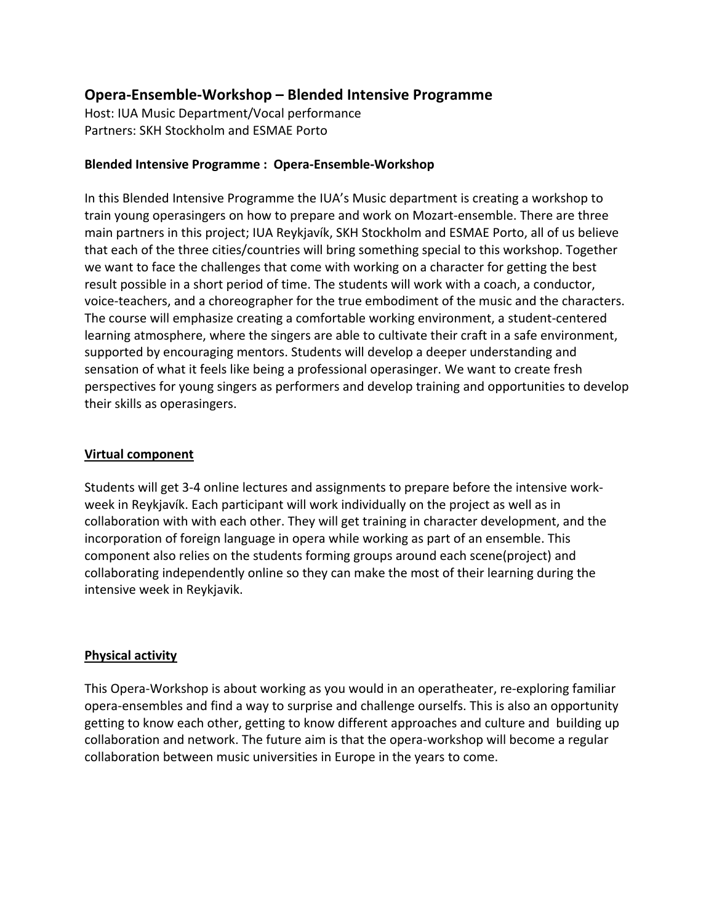# **Opera-Ensemble-Workshop – Blended Intensive Programme**

Host: IUA Music Department/Vocal performance Partners: SKH Stockholm and ESMAE Porto

## **Blended Intensive Programme : Opera-Ensemble-Workshop**

In this Blended Intensive Programme the IUA's Music department is creating a workshop to train young operasingers on how to prepare and work on Mozart-ensemble. There are three main partners in this project; IUA Reykjavík, SKH Stockholm and ESMAE Porto, all of us believe that each of the three cities/countries will bring something special to this workshop. Together we want to face the challenges that come with working on a character for getting the best result possible in a short period of time. The students will work with a coach, a conductor, voice-teachers, and a choreographer for the true embodiment of the music and the characters. The course will emphasize creating a comfortable working environment, a student-centered learning atmosphere, where the singers are able to cultivate their craft in a safe environment, supported by encouraging mentors. Students will develop a deeper understanding and sensation of what it feels like being a professional operasinger. We want to create fresh perspectives for young singers as performers and develop training and opportunities to develop their skills as operasingers.

## **Virtual component**

Students will get 3-4 online lectures and assignments to prepare before the intensive workweek in Reykjavík. Each participant will work individually on the project as well as in collaboration with with each other. They will get training in character development, and the incorporation of foreign language in opera while working as part of an ensemble. This component also relies on the students forming groups around each scene(project) and collaborating independently online so they can make the most of their learning during the intensive week in Reykjavik.

## **Physical activity**

This Opera-Workshop is about working as you would in an operatheater, re-exploring familiar opera-ensembles and find a way to surprise and challenge ourselfs. This is also an opportunity getting to know each other, getting to know different approaches and culture and building up collaboration and network. The future aim is that the opera-workshop will become a regular collaboration between music universities in Europe in the years to come.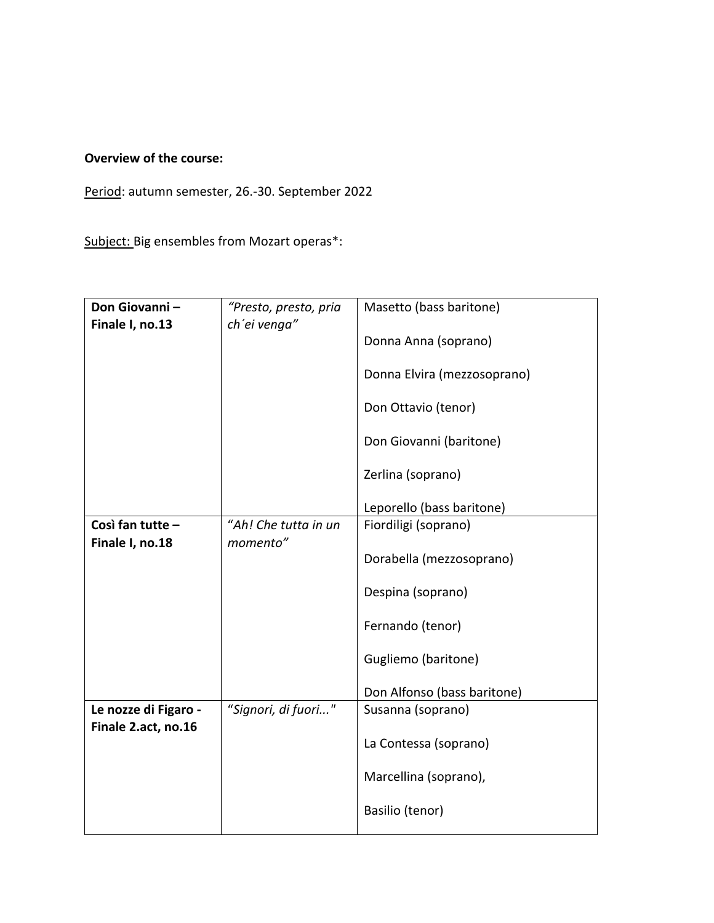# **Overview of the course:**

Period: autumn semester, 26.-30. September 2022

Subject: Big ensembles from Mozart operas\*:

| Don Giovanni-<br>Finale I, no.13    | "Presto, presto, pria<br>ch'ei venga" | Masetto (bass baritone)     |
|-------------------------------------|---------------------------------------|-----------------------------|
|                                     |                                       | Donna Anna (soprano)        |
|                                     |                                       | Donna Elvira (mezzosoprano) |
|                                     |                                       | Don Ottavio (tenor)         |
|                                     |                                       | Don Giovanni (baritone)     |
|                                     |                                       | Zerlina (soprano)           |
|                                     |                                       | Leporello (bass baritone)   |
| Così fan tutte -<br>Finale I, no.18 | "Ah! Che tutta in un<br>momento"      | Fiordiligi (soprano)        |
|                                     |                                       | Dorabella (mezzosoprano)    |
|                                     |                                       | Despina (soprano)           |
|                                     |                                       | Fernando (tenor)            |
|                                     |                                       | Gugliemo (baritone)         |
|                                     |                                       | Don Alfonso (bass baritone) |
| Le nozze di Figaro -                | "Signori, di fuori"                   | Susanna (soprano)           |
| Finale 2.act, no.16                 |                                       | La Contessa (soprano)       |
|                                     |                                       | Marcellina (soprano),       |
|                                     |                                       | Basilio (tenor)             |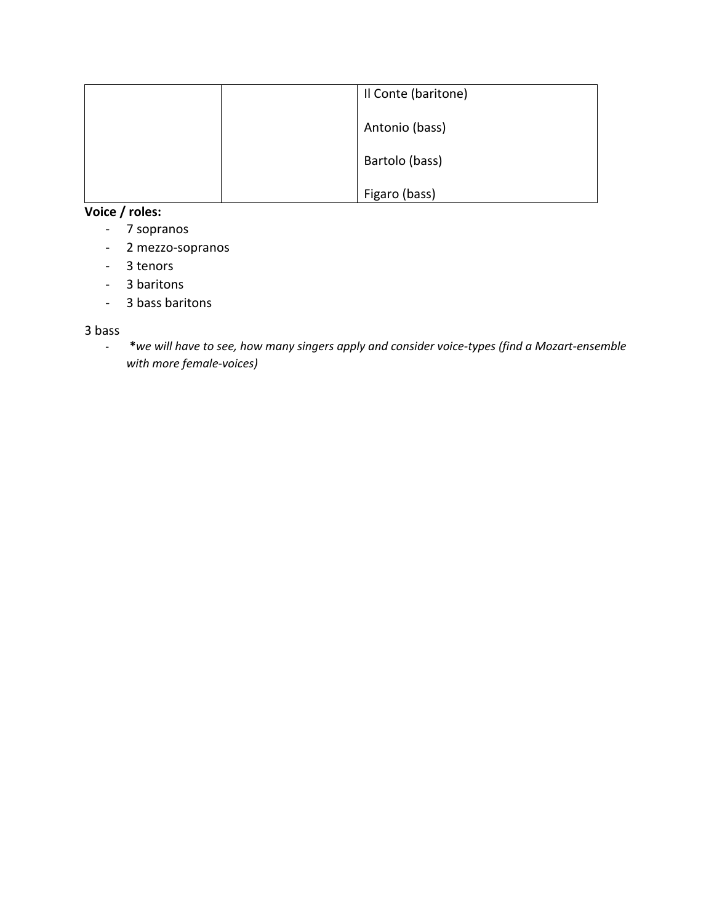|  | Il Conte (baritone) |
|--|---------------------|
|  | Antonio (bass)      |
|  | Bartolo (bass)      |
|  | Figaro (bass)       |

# **Voice / roles:**

- 7 sopranos
- 2 mezzo-sopranos
- 3 tenors
- 3 baritons
- 3 bass baritons

#### 3 bass

- **\****we will have to see, how many singers apply and consider voice-types (find a Mozart-ensemble with more female-voices)*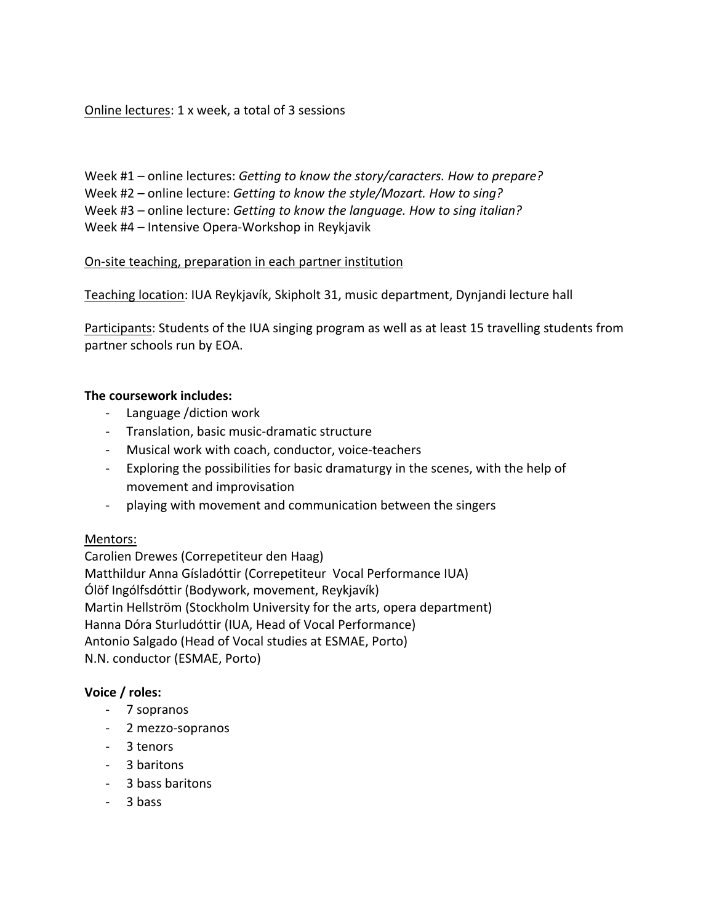Online lectures: 1 x week, a total of 3 sessions

Week #1 – online lectures: *Getting to know the story/caracters. How to prepare?*  Week #2 – online lecture: *Getting to know the style/Mozart. How to sing?* Week #3 – online lecture: *Getting to know the language. How to sing italian?* Week #4 – Intensive Opera-Workshop in Reykjavik

## On-site teaching, preparation in each partner institution

Teaching location: IUA Reykjavík, Skipholt 31, music department, Dynjandi lecture hall

Participants: Students of the IUA singing program as well as at least 15 travelling students from partner schools run by EOA.

#### **The coursework includes:**

- Language /diction work
- Translation, basic music-dramatic structure
- Musical work with coach, conductor, voice-teachers
- Exploring the possibilities for basic dramaturgy in the scenes, with the help of movement and improvisation
- playing with movement and communication between the singers

#### Mentors:

Carolien Drewes (Correpetiteur den Haag) Matthildur Anna Gísladóttir (Correpetiteur Vocal Performance IUA) Ólöf Ingólfsdóttir (Bodywork, movement, Reykjavík) Martin Hellström (Stockholm University for the arts, opera department) Hanna Dóra Sturludóttir (IUA, Head of Vocal Performance) Antonio Salgado (Head of Vocal studies at ESMAE, Porto) N.N. conductor (ESMAE, Porto)

## **Voice / roles:**

- 7 sopranos
- 2 mezzo-sopranos
- 3 tenors
- 3 baritons
- 3 bass baritons
- 3 bass